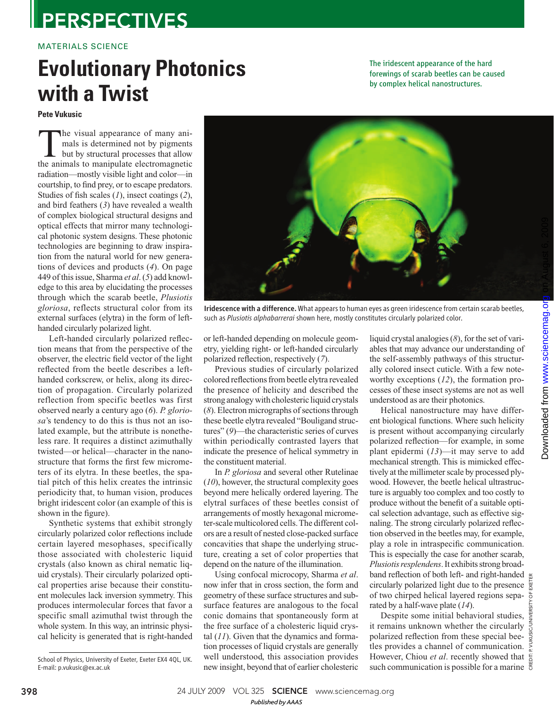## **PERSPECTIVES**

### MATERIALS SCIENCE

# **Evolutionary Photonics with a Twist**

**Pete Vukusic** 

 The visual appearance of many animals is determined not by pigments but by structural processes that allow the animals to manipulate electromagnetic radiation—mostly visible light and color—in courtship, to find prey, or to escape predators. Studies of fish scales  $(1)$ , insect coatings  $(2)$ , and bird feathers ( *3*) have revealed a wealth of complex biological structural designs and optical effects that mirror many technological photonic system designs. These photonic technologies are beginning to draw inspiration from the natural world for new generations of devices and products (4). On page 449 of this issue, Sharma et al. (5) add knowledge to this area by elucidating the processes through which the scarab beetle, *Plusiotis gloriosa*, reflects structural color from its external surfaces (elytra) in the form of lefthanded circularly polarized light.

Left-handed circularly polarized reflection means that from the perspective of the observer, the electric field vector of the light reflected from the beetle describes a lefthanded corkscrew, or helix, along its direction of propagation. Circularly polarized reflection from specific beetles was first observed nearly a century ago (6). *P. gloriosa*'s tendency to do this is thus not an isolated example, but the attribute is nonetheless rare. It requires a distinct azimuthally twisted—or helical—character in the nanostructure that forms the first few micrometers of its elytra. In these beetles, the spatial pitch of this helix creates the intrinsic periodicity that, to human vision, produces bright iridescent color (an example of this is shown in the figure).

Synthetic systems that exhibit strongly circularly polarized color reflections include certain layered mesophases, specifically those associated with cholesteric liquid crystals (also known as chiral nematic liquid crystals). Their circularly polarized optical properties arise because their constituent molecules lack inversion symmetry. This produces intermolecular forces that favor a specific small azimuthal twist through the whole system. In this way, an intrinsic physical helicity is generated that is right-handed

Iridescence with a difference. What appears to human eyes as green iridescence from certain scarab beetles, such as *Plusiotis alphabarrerai* shown here, mostly constitutes circularly polarized color.

or left-handed depending on molecule geometry, yielding right- or left-handed circularly polarized reflection, respectively (7).

Previous studies of circularly polarized colored reflections from beetle elytra revealed the presence of helicity and described the strong analogy with cholesteric liquid crystals ( *8*). Electron micrographs of sections through these beetle elytra revealed "Bouligand structures" (9)—the characteristic series of curves within periodically contrasted layers that indicate the presence of helical symmetry in the constituent material.

In *P. gloriosa* and several other Rutelinae ( *10*), however, the structural complexity goes beyond mere helically ordered layering. The elytral surfaces of these beetles consist of arrangements of mostly hexagonal micrometer-scale multicolored cells. The different colors are a result of nested close-packed surface concavities that shape the underlying structure, creating a set of color properties that depend on the nature of the illumination.

Using confocal microcopy, Sharma *et al*. now infer that in cross section, the form and geometry of these surface structures and subsurface features are analogous to the focal conic domains that spontaneously form at the free surface of a cholesteric liquid crystal  $(11)$ . Given that the dynamics and formation processes of liquid crystals are generally well understood, this association provides new insight, beyond that of earlier cholesteric

liquid crystal analogies  $(8)$ , for the set of variables that may advance our understanding of the self-assembly pathways of this structurally colored insect cuticle. With a few noteworthy exceptions (12), the formation processes of these insect systems are not as well understood as are their photonics.

The iridescent appearance of the hard forewings of scarab beetles can be caused by complex helical nanostructures.

Helical nanostructure may have different biological functions. Where such helicity is present without accompanying circularly polarized reflection—for example, in some plant epidermi (13)—it may serve to add mechanical strength. This is mimicked effectively at the millimeter scale by processed plywood. However, the beetle helical ultrastructure is arguably too complex and too costly to produce without the benefit of a suitable optical selection advantage, such as effective signaling. The strong circularly polarized reflection observed in the beetles may, for example, play a role in intraspecific communication. This is especially the case for another scarab, *Plusiotis resplendens*. It exhibits strong broadband reflection of both left- and right-handed  $\epsilon$ circularly polarized light due to the presence  $\frac{1}{8}$ of two chirped helical layered regions sepa- $\overline{\sigma}$ rated by a half-wave plate (14).

Despite some initial behavioral studies,  $\frac{1}{2}$ it remains unknown whether the circularly polarized reflection from these special beetles provides a channel of communication. However, Chiou *et al.* recently showed that  $\frac{e}{6}$ such communication is possible for a marine

CREDIT: P. VUKUSIC/UNIVERSITY OF EXETER



**398** 24 JULY 2009 VOL 325 **SCIENCE** www.sciencemag.org

School of Physics, University of Exeter, Exeter EX4 4QL, UK. E-mail: p.vukusic@ex.ac.uk